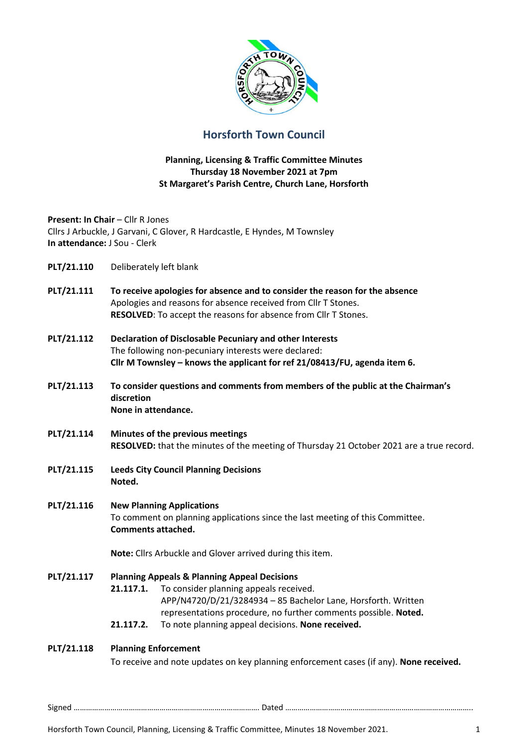

# **Horsforth Town Council**

### **Planning, Licensing & Traffic Committee Minutes Thursday 18 November 2021 at 7pm St Margaret's Parish Centre, Church Lane, Horsforth**

**Present: In Chair - Cllr R Jones** Cllrs J Arbuckle, J Garvani, C Glover, R Hardcastle, E Hyndes, M Townsley **In attendance:** J Sou - Clerk

- **PLT/21.110** Deliberately left blank
- **PLT/21.111 To receive apologies for absence and to consider the reason for the absence** Apologies and reasons for absence received from Cllr T Stones. **RESOLVED**: To accept the reasons for absence from Cllr T Stones.
- **PLT/21.112 Declaration of Disclosable Pecuniary and other Interests** The following non-pecuniary interests were declared: **Cllr M Townsley – knows the applicant for ref 21/08413/FU, agenda item 6.**
- **PLT/21.113 To consider questions and comments from members of the public at the Chairman's discretion None in attendance.**
- **PLT/21.114 Minutes of the previous meetings RESOLVED:** that the minutes of the meeting of Thursday 21 October 2021 are a true record.
- **PLT/21.115 Leeds City Council Planning Decisions Noted.**
- **PLT/21.116 New Planning Applications** To comment on planning applications since the last meeting of this Committee. **Comments attached.**

**Note:** Cllrs Arbuckle and Glover arrived during this item.

**PLT/21.117 Planning Appeals & Planning Appeal Decisions 21.117.1.** To consider planning appeals received. APP/N4720/D/21/3284934 – 85 Bachelor Lane, Horsforth. Written representations procedure, no further comments possible. **Noted. 21.117.2.** To note planning appeal decisions. **None received.**

## **PLT/21.118 Planning Enforcement** To receive and note updates on key planning enforcement cases (if any). **None received.**

Signed ………………………………………………………………………………. Dated ………………………………………………………………………………..

Horsforth Town Council, Planning, Licensing & Traffic Committee, Minutes 18 November 2021. 1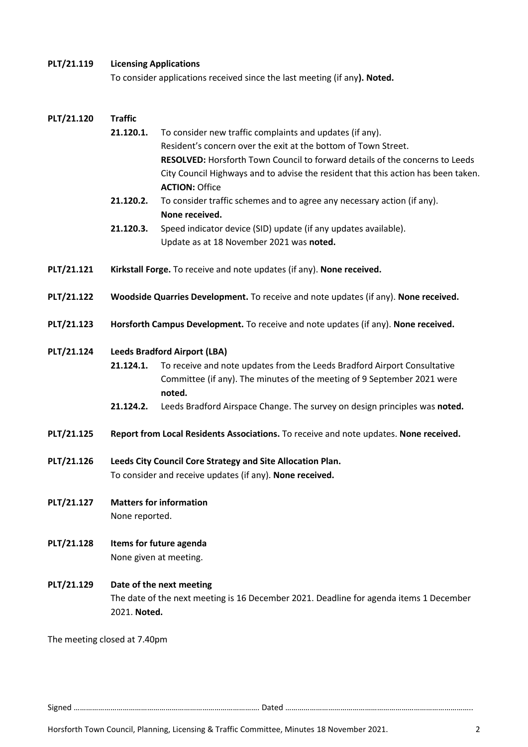#### **PLT/21.119 Licensing Applications**

To consider applications received since the last meeting (if any**). Noted.**

#### **PLT/21.120 Traffic**

**21.120.1.** To consider new traffic complaints and updates (if any). Resident's concern over the exit at the bottom of Town Street. **RESOLVED:** Horsforth Town Council to forward details of the concerns to Leeds City Council Highways and to advise the resident that this action has been taken. **ACTION:** Office

# **21.120.2.** To consider traffic schemes and to agree any necessary action (if any). **None received.**

- **21.120.3.** Speed indicator device (SID) update (if any updates available). Update as at 18 November 2021 was **noted.**
- **PLT/21.121 Kirkstall Forge.** To receive and note updates (if any). **None received.**
- **PLT/21.122 Woodside Quarries Development.** To receive and note updates (if any). **None received.**
- **PLT/21.123 Horsforth Campus Development.** To receive and note updates (if any). **None received.**

#### **PLT/21.124 Leeds Bradford Airport (LBA)**

- **21.124.1.** To receive and note updates from the Leeds Bradford Airport Consultative Committee (if any). The minutes of the meeting of 9 September 2021 were **noted.**
- **21.124.2.** Leeds Bradford Airspace Change. The survey on design principles was **noted.**
- **PLT/21.125 Report from Local Residents Associations.** To receive and note updates. **None received.**
- **PLT/21.126 Leeds City Council Core Strategy and Site Allocation Plan.** To consider and receive updates (if any). **None received.**
- **PLT/21.127 Matters for information** None reported.
- **PLT/21.128 Items for future agenda** None given at meeting.

## **PLT/21.129 Date of the next meeting** The date of the next meeting is 16 December 2021. Deadline for agenda items 1 December 2021. **Noted.**

The meeting closed at 7.40pm

Signed ………………………………………………………………………………. Dated ………………………………………………………………………………..

Horsforth Town Council, Planning, Licensing & Traffic Committee, Minutes 18 November 2021. 2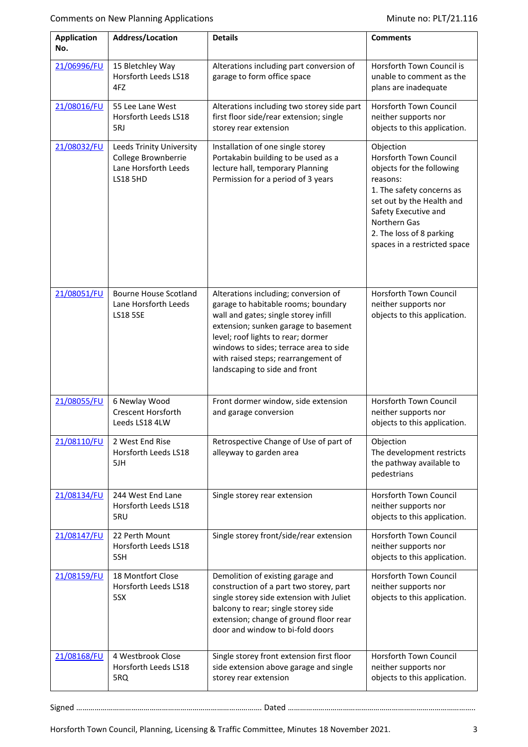| <b>Application</b><br>No. | <b>Address/Location</b>                                                                    | <b>Details</b>                                                                                                                                                                                                                                                                                                      | <b>Comments</b>                                                                                                                                                                                                                            |
|---------------------------|--------------------------------------------------------------------------------------------|---------------------------------------------------------------------------------------------------------------------------------------------------------------------------------------------------------------------------------------------------------------------------------------------------------------------|--------------------------------------------------------------------------------------------------------------------------------------------------------------------------------------------------------------------------------------------|
| 21/06996/FU               | 15 Bletchley Way<br>Horsforth Leeds LS18<br>4FZ                                            | Alterations including part conversion of<br>garage to form office space                                                                                                                                                                                                                                             | Horsforth Town Council is<br>unable to comment as the<br>plans are inadequate                                                                                                                                                              |
| 21/08016/FU               | 55 Lee Lane West<br>Horsforth Leeds LS18<br>5RJ                                            | Alterations including two storey side part<br>first floor side/rear extension; single<br>storey rear extension                                                                                                                                                                                                      | Horsforth Town Council<br>neither supports nor<br>objects to this application.                                                                                                                                                             |
| 21/08032/FU               | Leeds Trinity University<br>College Brownberrie<br>Lane Horsforth Leeds<br><b>LS18 5HD</b> | Installation of one single storey<br>Portakabin building to be used as a<br>lecture hall, temporary Planning<br>Permission for a period of 3 years                                                                                                                                                                  | Objection<br>Horsforth Town Council<br>objects for the following<br>reasons:<br>1. The safety concerns as<br>set out by the Health and<br>Safety Executive and<br>Northern Gas<br>2. The loss of 8 parking<br>spaces in a restricted space |
| 21/08051/FU               | <b>Bourne House Scotland</b><br>Lane Horsforth Leeds<br><b>LS18 5SE</b>                    | Alterations including; conversion of<br>garage to habitable rooms; boundary<br>wall and gates; single storey infill<br>extension; sunken garage to basement<br>level; roof lights to rear; dormer<br>windows to sides; terrace area to side<br>with raised steps; rearrangement of<br>landscaping to side and front | Horsforth Town Council<br>neither supports nor<br>objects to this application.                                                                                                                                                             |
| 21/08055/FU               | 6 Newlay Wood<br>Crescent Horsforth<br>Leeds LS18 4LW                                      | Front dormer window, side extension<br>and garage conversion                                                                                                                                                                                                                                                        | Horsforth Town Council<br>neither supports nor<br>objects to this application.                                                                                                                                                             |
| 21/08110/FU               | 2 West End Rise<br>Horsforth Leeds LS18<br>5JH                                             | Retrospective Change of Use of part of<br>alleyway to garden area                                                                                                                                                                                                                                                   | Objection<br>The development restricts<br>the pathway available to<br>pedestrians                                                                                                                                                          |
| 21/08134/FU               | 244 West End Lane<br>Horsforth Leeds LS18<br>5RU                                           | Single storey rear extension                                                                                                                                                                                                                                                                                        | Horsforth Town Council<br>neither supports nor<br>objects to this application.                                                                                                                                                             |
| 21/08147/FU               | 22 Perth Mount<br>Horsforth Leeds LS18<br>5SH                                              | Single storey front/side/rear extension                                                                                                                                                                                                                                                                             | Horsforth Town Council<br>neither supports nor<br>objects to this application.                                                                                                                                                             |
| 21/08159/FU               | 18 Montfort Close<br>Horsforth Leeds LS18<br>5SX                                           | Demolition of existing garage and<br>construction of a part two storey, part<br>single storey side extension with Juliet<br>balcony to rear; single storey side<br>extension; change of ground floor rear<br>door and window to bi-fold doors                                                                       | Horsforth Town Council<br>neither supports nor<br>objects to this application.                                                                                                                                                             |
| 21/08168/FU               | 4 Westbrook Close<br>Horsforth Leeds LS18<br>5RQ                                           | Single storey front extension first floor<br>side extension above garage and single<br>storey rear extension                                                                                                                                                                                                        | Horsforth Town Council<br>neither supports nor<br>objects to this application.                                                                                                                                                             |

Signed ………………………………………………………………………………. Dated ………………………………………………………………………………..

Horsforth Town Council, Planning, Licensing & Traffic Committee, Minutes 18 November 2021. 3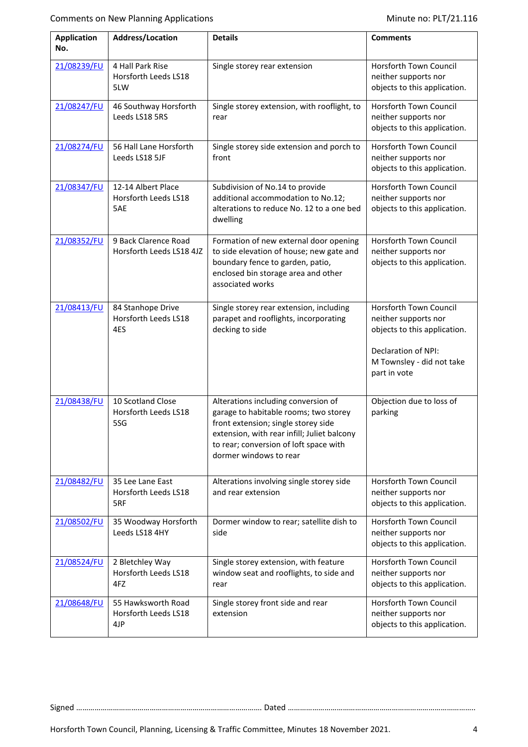| <b>Application</b><br>No. | <b>Address/Location</b>                           | <b>Details</b>                                                                                                                                                                                                                         | <b>Comments</b>                                                                                                                                    |
|---------------------------|---------------------------------------------------|----------------------------------------------------------------------------------------------------------------------------------------------------------------------------------------------------------------------------------------|----------------------------------------------------------------------------------------------------------------------------------------------------|
| 21/08239/FU               | 4 Hall Park Rise<br>Horsforth Leeds LS18<br>5LW   | Single storey rear extension                                                                                                                                                                                                           | Horsforth Town Council<br>neither supports nor<br>objects to this application.                                                                     |
| 21/08247/FU               | 46 Southway Horsforth<br>Leeds LS18 5RS           | Single storey extension, with rooflight, to<br>rear                                                                                                                                                                                    | Horsforth Town Council<br>neither supports nor<br>objects to this application.                                                                     |
| 21/08274/FU               | 56 Hall Lane Horsforth<br>Leeds LS18 5JF          | Single storey side extension and porch to<br>front                                                                                                                                                                                     | Horsforth Town Council<br>neither supports nor<br>objects to this application.                                                                     |
| 21/08347/FU               | 12-14 Albert Place<br>Horsforth Leeds LS18<br>5AE | Subdivision of No.14 to provide<br>additional accommodation to No.12;<br>alterations to reduce No. 12 to a one bed<br>dwelling                                                                                                         | Horsforth Town Council<br>neither supports nor<br>objects to this application.                                                                     |
| 21/08352/FU               | 9 Back Clarence Road<br>Horsforth Leeds LS18 4JZ  | Formation of new external door opening<br>to side elevation of house; new gate and<br>boundary fence to garden, patio,<br>enclosed bin storage area and other<br>associated works                                                      | Horsforth Town Council<br>neither supports nor<br>objects to this application.                                                                     |
| 21/08413/FU               | 84 Stanhope Drive<br>Horsforth Leeds LS18<br>4ES  | Single storey rear extension, including<br>parapet and rooflights, incorporating<br>decking to side                                                                                                                                    | Horsforth Town Council<br>neither supports nor<br>objects to this application.<br>Declaration of NPI:<br>M Townsley - did not take<br>part in vote |
| 21/08438/FU               | 10 Scotland Close<br>Horsforth Leeds LS18<br>5SG  | Alterations including conversion of<br>garage to habitable rooms; two storey<br>front extension; single storey side<br>extension, with rear infill; Juliet balcony<br>to rear; conversion of loft space with<br>dormer windows to rear | Objection due to loss of<br>parking                                                                                                                |
| 21/08482/FU               | 35 Lee Lane East<br>Horsforth Leeds LS18<br>5RF   | Alterations involving single storey side<br>and rear extension                                                                                                                                                                         | <b>Horsforth Town Council</b><br>neither supports nor<br>objects to this application.                                                              |
| 21/08502/FU               | 35 Woodway Horsforth<br>Leeds LS18 4HY            | Dormer window to rear; satellite dish to<br>side                                                                                                                                                                                       | Horsforth Town Council<br>neither supports nor<br>objects to this application.                                                                     |
| 21/08524/FU               | 2 Bletchley Way<br>Horsforth Leeds LS18<br>4FZ    | Single storey extension, with feature<br>window seat and rooflights, to side and<br>rear                                                                                                                                               | Horsforth Town Council<br>neither supports nor<br>objects to this application.                                                                     |
| 21/08648/FU               | 55 Hawksworth Road<br>Horsforth Leeds LS18<br>4JP | Single storey front side and rear<br>extension                                                                                                                                                                                         | Horsforth Town Council<br>neither supports nor<br>objects to this application.                                                                     |

Signed ………………………………………………………………………………. Dated ………………………………………………………………………………..